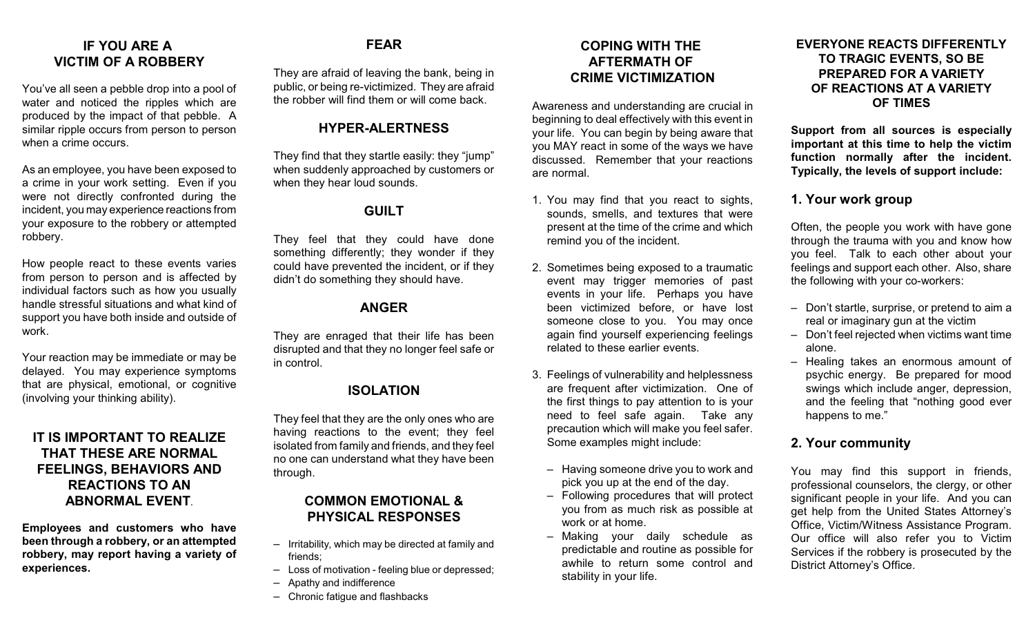# **IF YOU ARE A VICTIM OF A ROBBERY**

You've all seen a pebble drop into a pool of water and noticed the ripples which are produced by the impact of that pebble. A similar ripple occurs from person to person when a crime occurs.

As an employee, you have been exposed to a crime in your work setting. Even if you were not directly confronted during the incident, you may experience reactions from your exposure to the robbery or attempted robbery.

How people react to these events varies from person to person and is affected by individual factors such as how you usually handle stressful situations and what kind of support you have both inside and outside of work.

Your reaction may be immediate or may be delayed. You may experience symptoms that are physical, emotional, or cognitive (involving your thinking ability).

## **IT IS IMPORTANT TO REALIZE THAT THESE ARE NORMAL FEELINGS, BEHAVIORS AND REACTIONS TO AN ABNORMAL EVENT**.

**Employees and customers who have been through a robbery, or an attempted robbery, may report having a variety of experiences.**

# **FEAR**

They are afraid of leaving the bank, being in public, or being re-victimized. They are afraid the robber will find them or will come back.

## **HYPER-ALERTNESS**

They find that they startle easily: they "jump" when suddenly approached by customers or when they hear loud sounds.

# **GUILT**

They feel that they could have done something differently; they wonder if they could have prevented the incident, or if they didn't do something they should have.

# **ANGER**

They are enraged that their life has been disrupted and that they no longer feel safe or in control.

# **ISOLATION**

They feel that they are the only ones who are having reactions to the event; they feel isolated from family and friends, and they feel no one can understand what they have been through.

# **COMMON EMOTIONAL & PHYSICAL RESPONSES**

- Irritability, which may be directed at family and friends;
- Loss of motivation feeling blue or depressed;
- Apathy and indifference
- Chronic fatigue and flashbacks

## **COPING WITH THE AFTERMATH OF CRIME VICTIMIZATION**

Awareness and understanding are crucial in beginning to deal effectively with this event in your life. You can begin by being aware that you MAY react in some of the ways we have discussed. Remember that your reactions are normal.

- 1. You may find that you react to sights, sounds, smells, and textures that were present at the time of the crime and which remind you of the incident.
- 2. Sometimes being exposed to a traumatic event may trigger memories of past events in your life. Perhaps you have been victimized before, or have lost someone close to you. You may once again find yourself experiencing feelings related to these earlier events.
- 3. Feelings of vulnerability and helplessness are frequent after victimization. One of the first things to pay attention to is your need to feel safe again. Take any precaution which will make you feel safer. Some examples might include:
	- Having someone drive you to work and pick you up at the end of the day.
	- Following procedures that will protect you from as much risk as possible at work or at home.
	- Making your daily schedule as predictable and routine as possible for awhile to return some control and stability in your life.

#### **EVERYONE REACTS DIFFERENTLY TO TRAGIC EVENTS, SO BE PREPARED FOR A VARIETY OF REACTIONS AT A VARIETY OF TIMES**

**Support from all sources is especially important at this time to help the victim function normally after the incident. Typically, the levels of support include:**

# **1. Your work group**

Often, the people you work with have gone through the trauma with you and know how you feel. Talk to each other about your feelings and support each other. Also, share the following with your co-workers:

- Don't startle, surprise, or pretend to aim a real or imaginary gun at the victim
- Don't feel rejected when victims want time alone.
- Healing takes an enormous amount of psychic energy. Be prepared for mood swings which include anger, depression, and the feeling that "nothing good ever happens to me."

## **2. Your community**

You may find this support in friends, professional counselors, the clergy, or other significant people in your life. And you can get help from the United States Attorney's Office, Victim/Witness Assistance Program. Our office will also refer you to Victim Services if the robbery is prosecuted by the District Attorney's Office.